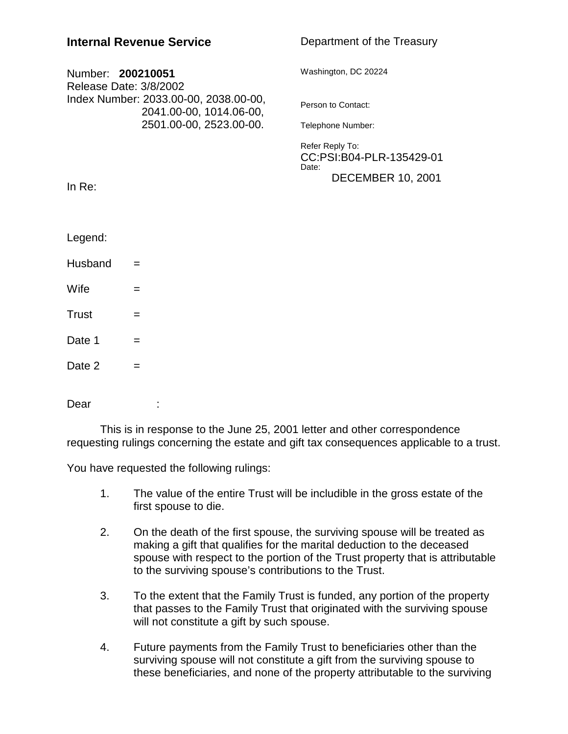| <b>Internal Revenue Service</b>                                                                                 |                         | Department of the Treasury                           |
|-----------------------------------------------------------------------------------------------------------------|-------------------------|------------------------------------------------------|
| Number: 200210051<br>Release Date: 3/8/2002<br>Index Number: 2033.00-00, 2038.00-00,<br>2041.00-00, 1014.06-00, |                         | Washington, DC 20224                                 |
|                                                                                                                 |                         | Person to Contact:                                   |
|                                                                                                                 | 2501.00-00, 2523.00-00. | Telephone Number:                                    |
|                                                                                                                 |                         | Refer Reply To:<br>CC:PSI:B04-PLR-135429-01<br>Date: |
| In $Re:$                                                                                                        |                         | <b>DECEMBER 10, 2001</b>                             |
|                                                                                                                 |                         |                                                      |
| Legend:                                                                                                         |                         |                                                      |
| Husband                                                                                                         | $=$                     |                                                      |
| Wife                                                                                                            | =                       |                                                      |
| <b>Trust</b>                                                                                                    | =                       |                                                      |
| Date 1                                                                                                          | $=$                     |                                                      |
| Date 2                                                                                                          | $=$                     |                                                      |
| Dear                                                                                                            |                         |                                                      |

This is in response to the June 25, 2001 letter and other correspondence requesting rulings concerning the estate and gift tax consequences applicable to a trust.

You have requested the following rulings:

- 1. The value of the entire Trust will be includible in the gross estate of the first spouse to die.
- 2. On the death of the first spouse, the surviving spouse will be treated as making a gift that qualifies for the marital deduction to the deceased spouse with respect to the portion of the Trust property that is attributable to the surviving spouse's contributions to the Trust.
- 3. To the extent that the Family Trust is funded, any portion of the property that passes to the Family Trust that originated with the surviving spouse will not constitute a gift by such spouse.
- 4. Future payments from the Family Trust to beneficiaries other than the surviving spouse will not constitute a gift from the surviving spouse to these beneficiaries, and none of the property attributable to the surviving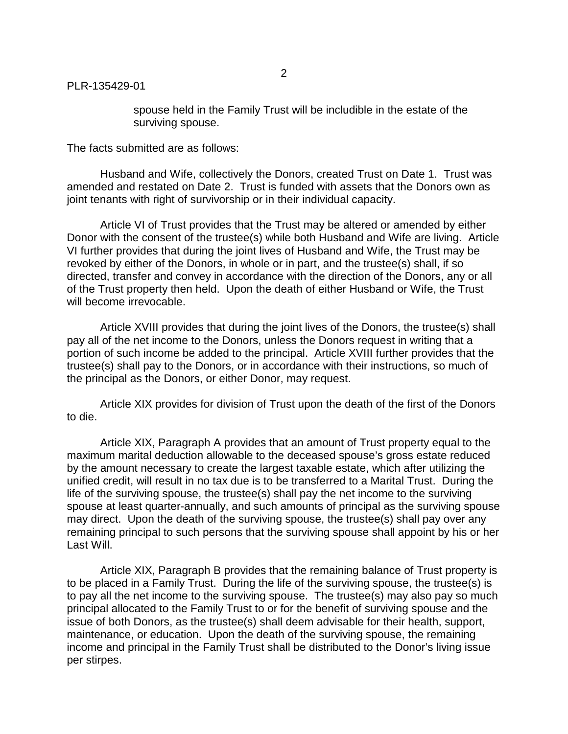spouse held in the Family Trust will be includible in the estate of the surviving spouse.

The facts submitted are as follows:

Husband and Wife, collectively the Donors, created Trust on Date 1. Trust was amended and restated on Date 2. Trust is funded with assets that the Donors own as joint tenants with right of survivorship or in their individual capacity.

Article VI of Trust provides that the Trust may be altered or amended by either Donor with the consent of the trustee(s) while both Husband and Wife are living. Article VI further provides that during the joint lives of Husband and Wife, the Trust may be revoked by either of the Donors, in whole or in part, and the trustee(s) shall, if so directed, transfer and convey in accordance with the direction of the Donors, any or all of the Trust property then held. Upon the death of either Husband or Wife, the Trust will become irrevocable.

Article XVIII provides that during the joint lives of the Donors, the trustee(s) shall pay all of the net income to the Donors, unless the Donors request in writing that a portion of such income be added to the principal. Article XVIII further provides that the trustee(s) shall pay to the Donors, or in accordance with their instructions, so much of the principal as the Donors, or either Donor, may request.

Article XIX provides for division of Trust upon the death of the first of the Donors to die.

Article XIX, Paragraph A provides that an amount of Trust property equal to the maximum marital deduction allowable to the deceased spouse's gross estate reduced by the amount necessary to create the largest taxable estate, which after utilizing the unified credit, will result in no tax due is to be transferred to a Marital Trust. During the life of the surviving spouse, the trustee(s) shall pay the net income to the surviving spouse at least quarter-annually, and such amounts of principal as the surviving spouse may direct. Upon the death of the surviving spouse, the trustee(s) shall pay over any remaining principal to such persons that the surviving spouse shall appoint by his or her Last Will.

Article XIX, Paragraph B provides that the remaining balance of Trust property is to be placed in a Family Trust. During the life of the surviving spouse, the trustee(s) is to pay all the net income to the surviving spouse. The trustee(s) may also pay so much principal allocated to the Family Trust to or for the benefit of surviving spouse and the issue of both Donors, as the trustee(s) shall deem advisable for their health, support, maintenance, or education. Upon the death of the surviving spouse, the remaining income and principal in the Family Trust shall be distributed to the Donor's living issue per stirpes.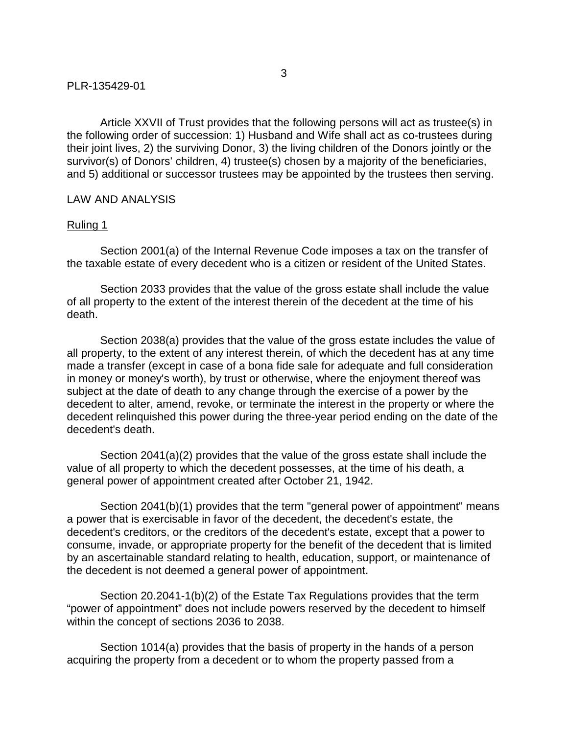Article XXVII of Trust provides that the following persons will act as trustee(s) in the following order of succession: 1) Husband and Wife shall act as co-trustees during their joint lives, 2) the surviving Donor, 3) the living children of the Donors jointly or the survivor(s) of Donors' children, 4) trustee(s) chosen by a majority of the beneficiaries, and 5) additional or successor trustees may be appointed by the trustees then serving.

## LAW AND ANALYSIS

## Ruling 1

Section 2001(a) of the Internal Revenue Code imposes a tax on the transfer of the taxable estate of every decedent who is a citizen or resident of the United States.

Section 2033 provides that the value of the gross estate shall include the value of all property to the extent of the interest therein of the decedent at the time of his death.

Section 2038(a) provides that the value of the gross estate includes the value of all property, to the extent of any interest therein, of which the decedent has at any time made a transfer (except in case of a bona fide sale for adequate and full consideration in money or money's worth), by trust or otherwise, where the enjoyment thereof was subject at the date of death to any change through the exercise of a power by the decedent to alter, amend, revoke, or terminate the interest in the property or where the decedent relinquished this power during the three-year period ending on the date of the decedent's death.

Section 2041(a)(2) provides that the value of the gross estate shall include the value of all property to which the decedent possesses, at the time of his death, a general power of appointment created after October 21, 1942.

Section 2041(b)(1) provides that the term "general power of appointment" means a power that is exercisable in favor of the decedent, the decedent's estate, the decedent's creditors, or the creditors of the decedent's estate, except that a power to consume, invade, or appropriate property for the benefit of the decedent that is limited by an ascertainable standard relating to health, education, support, or maintenance of the decedent is not deemed a general power of appointment.

Section 20.2041-1(b)(2) of the Estate Tax Regulations provides that the term "power of appointment" does not include powers reserved by the decedent to himself within the concept of sections 2036 to 2038.

Section 1014(a) provides that the basis of property in the hands of a person acquiring the property from a decedent or to whom the property passed from a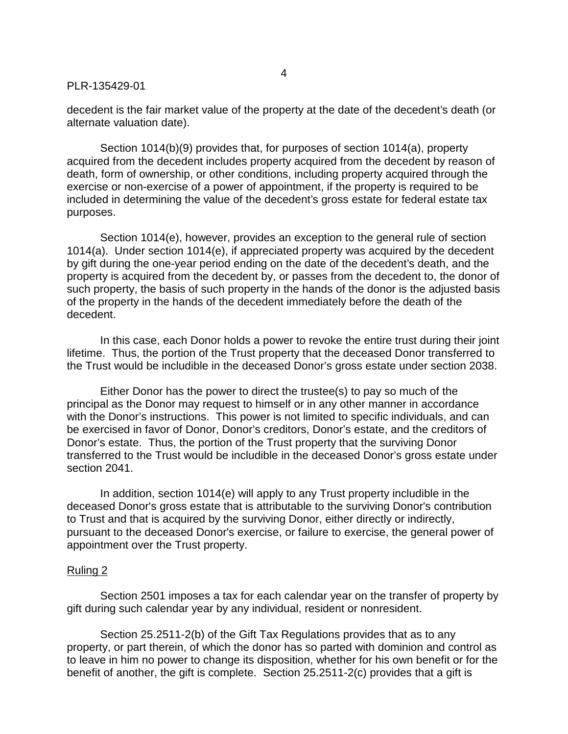decedent is the fair market value of the property at the date of the decedent's death (or alternate valuation date).

Section 1014(b)(9) provides that, for purposes of section 1014(a), property acquired from the decedent includes property acquired from the decedent by reason of death, form of ownership, or other conditions, including property acquired through the exercise or non-exercise of a power of appointment, if the property is required to be included in determining the value of the decedent's gross estate for federal estate tax purposes.

Section 1014(e), however, provides an exception to the general rule of section 1014(a). Under section 1014(e), if appreciated property was acquired by the decedent by gift during the one-year period ending on the date of the decedent's death, and the property is acquired from the decedent by, or passes from the decedent to, the donor of such property, the basis of such property in the hands of the donor is the adjusted basis of the property in the hands of the decedent immediately before the death of the decedent.

In this case, each Donor holds a power to revoke the entire trust during their joint lifetime. Thus, the portion of the Trust property that the deceased Donor transferred to the Trust would be includible in the deceased Donor's gross estate under section 2038.

Either Donor has the power to direct the trustee(s) to pay so much of the principal as the Donor may request to himself or in any other manner in accordance with the Donor's instructions. This power is not limited to specific individuals, and can be exercised in favor of Donor, Donor's creditors, Donor's estate, and the creditors of Donor's estate. Thus, the portion of the Trust property that the surviving Donor transferred to the Trust would be includible in the deceased Donor's gross estate under section 2041.

In addition, section 1014(e) will apply to any Trust property includible in the deceased Donor's gross estate that is attributable to the surviving Donor's contribution to Trust and that is acquired by the surviving Donor, either directly or indirectly, pursuant to the deceased Donor's exercise, or failure to exercise, the general power of appointment over the Trust property.

#### Ruling 2

Section 2501 imposes a tax for each calendar year on the transfer of property by gift during such calendar year by any individual, resident or nonresident.

Section 25.2511-2(b) of the Gift Tax Regulations provides that as to any property, or part therein, of which the donor has so parted with dominion and control as to leave in him no power to change its disposition, whether for his own benefit or for the benefit of another, the gift is complete. Section 25.2511-2(c) provides that a gift is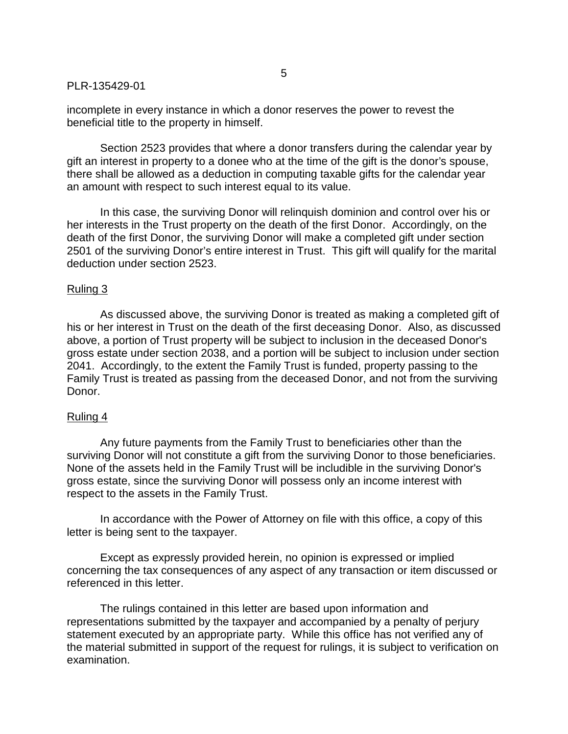incomplete in every instance in which a donor reserves the power to revest the beneficial title to the property in himself.

Section 2523 provides that where a donor transfers during the calendar year by gift an interest in property to a donee who at the time of the gift is the donor's spouse, there shall be allowed as a deduction in computing taxable gifts for the calendar year an amount with respect to such interest equal to its value.

In this case, the surviving Donor will relinquish dominion and control over his or her interests in the Trust property on the death of the first Donor. Accordingly, on the death of the first Donor, the surviving Donor will make a completed gift under section 2501 of the surviving Donor's entire interest in Trust. This gift will qualify for the marital deduction under section 2523.

## Ruling 3

 As discussed above, the surviving Donor is treated as making a completed gift of his or her interest in Trust on the death of the first deceasing Donor. Also, as discussed above, a portion of Trust property will be subject to inclusion in the deceased Donor's gross estate under section 2038, and a portion will be subject to inclusion under section 2041. Accordingly, to the extent the Family Trust is funded, property passing to the Family Trust is treated as passing from the deceased Donor, and not from the surviving Donor.

## Ruling 4

 Any future payments from the Family Trust to beneficiaries other than the surviving Donor will not constitute a gift from the surviving Donor to those beneficiaries. None of the assets held in the Family Trust will be includible in the surviving Donor's gross estate, since the surviving Donor will possess only an income interest with respect to the assets in the Family Trust.

In accordance with the Power of Attorney on file with this office, a copy of this letter is being sent to the taxpayer.

Except as expressly provided herein, no opinion is expressed or implied concerning the tax consequences of any aspect of any transaction or item discussed or referenced in this letter.

The rulings contained in this letter are based upon information and representations submitted by the taxpayer and accompanied by a penalty of perjury statement executed by an appropriate party. While this office has not verified any of the material submitted in support of the request for rulings, it is subject to verification on examination.